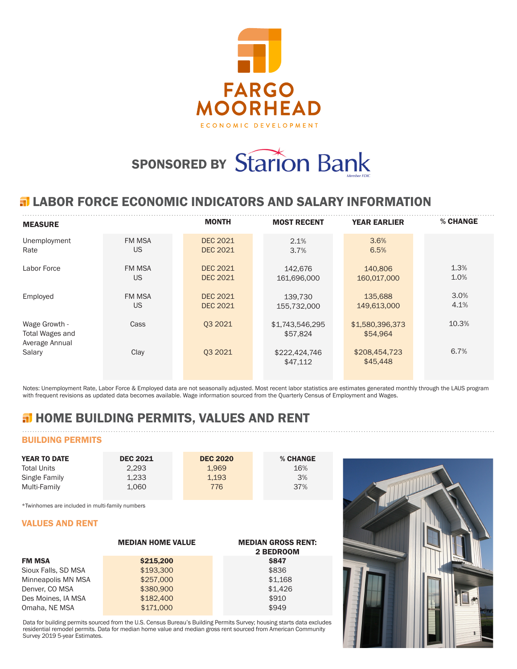

# SPONSORED BY Starion Bank

## **ELABOR FORCE ECONOMIC INDICATORS AND SALARY INFORMATION**

| <b>MEASURE</b>                                     |               | <b>MONTH</b>    | <b>MOST RECENT</b>          | <b>YEAR EARLIER</b>         | % CHANGE |
|----------------------------------------------------|---------------|-----------------|-----------------------------|-----------------------------|----------|
| Unemployment                                       | <b>FM MSA</b> | <b>DEC 2021</b> | 2.1%                        | 3.6%                        |          |
| Rate                                               | <b>US</b>     | <b>DEC 2021</b> | 3.7%                        | 6.5%                        |          |
| Labor Force                                        | <b>FM MSA</b> | <b>DEC 2021</b> | 142.676                     | 140,806                     | 1.3%     |
|                                                    | US            | <b>DEC 2021</b> | 161,696,000                 | 160,017,000                 | 1.0%     |
| Employed                                           | <b>FM MSA</b> | <b>DEC 2021</b> | 139.730                     | 135,688                     | 3.0%     |
|                                                    | <b>US</b>     | <b>DEC 2021</b> | 155,732,000                 | 149,613,000                 | 4.1%     |
| Wage Growth -<br>Total Wages and<br>Average Annual | Cass          | 03 20 21        | \$1,743,546,295<br>\$57,824 | \$1,580,396,373<br>\$54.964 | 10.3%    |
| Salary                                             | Clay          | 03 20 21        | \$222,424,746<br>\$47,112   | \$208,454,723<br>\$45,448   | 6.7%     |

Notes: Unemployment Rate, Labor Force & Employed data are not seasonally adjusted. Most recent labor statistics are estimates generated monthly through the LAUS program with frequent revisions as updated data becomes available. Wage information sourced from the Quarterly Census of Employment and Wages.

# **H** HOME BUILDING PERMITS, VALUES AND RENT

## BUILDING PERMITS

| <b>YEAR TO DATE</b> | <b>DEC 2021</b> | <b>DEC 2020</b> | % CHANGE |
|---------------------|-----------------|-----------------|----------|
| <b>Total Units</b>  | 2.293           | 1.969           | 16%      |
| Single Family       | 1.233           | 1.193           | 3%       |
| Multi-Family        | 1.060           | 776             | 37%      |

\*Twinhomes are included in multi-family numbers

#### VALUES AND RENT

|                     | <b>MEDIAN HOME VALUE</b> | <b>MEDIAN GROSS RENT:</b><br>2 BEDROOM |
|---------------------|--------------------------|----------------------------------------|
| <b>FM MSA</b>       | \$215,200                | <b>\$847</b>                           |
| Sioux Falls, SD MSA | \$193,300                | \$836                                  |
| Minneapolis MN MSA  | \$257,000                | \$1,168                                |
| Denver, CO MSA      | \$380,900                | \$1.426                                |
| Des Moines, IA MSA  | \$182,400                | \$910                                  |
| Omaha, NE MSA       | \$171,000                | \$949                                  |

Data for building permits sourced from the U.S. Census Bureau's Building Permits Survey; housing starts data excludes residential remodel permits. Data for median home value and median gross rent sourced from American Community Survey 2019 5-year Estimates.